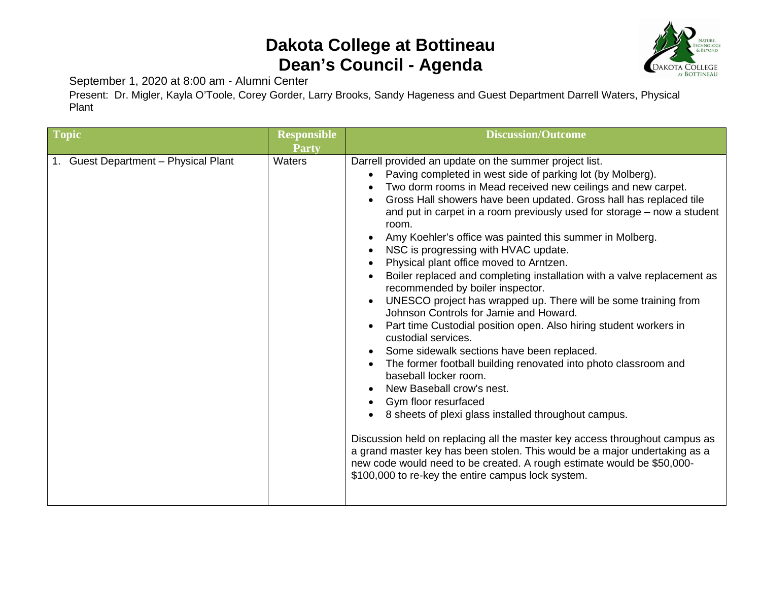## **Dakota College at Bottineau Dean's Council - Agenda**



September 1, 2020 at 8:00 am - Alumni Center

Present: Dr. Migler, Kayla O'Toole, Corey Gorder, Larry Brooks, Sandy Hageness and Guest Department Darrell Waters, Physical Plant

| Topic                                | <b>Responsible</b><br>Party | <b>Discussion/Outcome</b>                                                                                                                                                                                                                                                                                                                                                                                                                                                                                                                                                                                                                                                                                                                                                                                                                                                                                                                                                                                                                                                                                                                                                                                                                                                                                                                                                                                                                               |
|--------------------------------------|-----------------------------|---------------------------------------------------------------------------------------------------------------------------------------------------------------------------------------------------------------------------------------------------------------------------------------------------------------------------------------------------------------------------------------------------------------------------------------------------------------------------------------------------------------------------------------------------------------------------------------------------------------------------------------------------------------------------------------------------------------------------------------------------------------------------------------------------------------------------------------------------------------------------------------------------------------------------------------------------------------------------------------------------------------------------------------------------------------------------------------------------------------------------------------------------------------------------------------------------------------------------------------------------------------------------------------------------------------------------------------------------------------------------------------------------------------------------------------------------------|
| 1. Guest Department - Physical Plant | Waters                      | Darrell provided an update on the summer project list.<br>Paving completed in west side of parking lot (by Molberg).<br>$\bullet$<br>Two dorm rooms in Mead received new ceilings and new carpet.<br>$\bullet$<br>Gross Hall showers have been updated. Gross hall has replaced tile<br>$\bullet$<br>and put in carpet in a room previously used for storage - now a student<br>room.<br>Amy Koehler's office was painted this summer in Molberg.<br>NSC is progressing with HVAC update.<br>$\bullet$<br>Physical plant office moved to Arntzen.<br>Boiler replaced and completing installation with a valve replacement as<br>recommended by boiler inspector.<br>UNESCO project has wrapped up. There will be some training from<br>$\bullet$<br>Johnson Controls for Jamie and Howard.<br>Part time Custodial position open. Also hiring student workers in<br>custodial services.<br>Some sidewalk sections have been replaced.<br>$\bullet$<br>The former football building renovated into photo classroom and<br>baseball locker room.<br>New Baseball crow's nest.<br>Gym floor resurfaced<br>8 sheets of plexi glass installed throughout campus.<br>Discussion held on replacing all the master key access throughout campus as<br>a grand master key has been stolen. This would be a major undertaking as a<br>new code would need to be created. A rough estimate would be \$50,000-<br>\$100,000 to re-key the entire campus lock system. |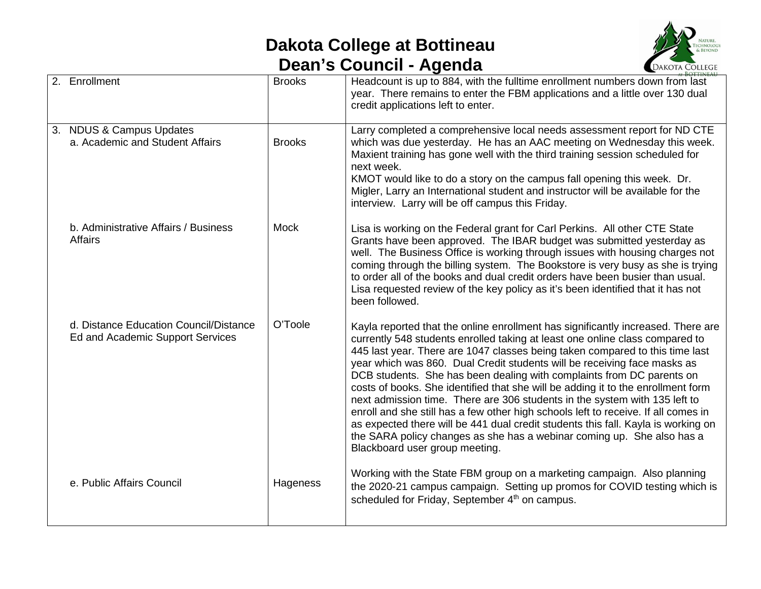## **Dakota College at Bottineau Dean's Council - Agenda**



| 2. Enrollment                                                              | <b>Brooks</b> | Headcount is up to 884, with the fulltime enrollment numbers down from last<br>year. There remains to enter the FBM applications and a little over 130 dual<br>credit applications left to enter.                                                                                                                                                                                                                                                                                                                                                                                                                                                                                                                                                                                                                                                              |
|----------------------------------------------------------------------------|---------------|----------------------------------------------------------------------------------------------------------------------------------------------------------------------------------------------------------------------------------------------------------------------------------------------------------------------------------------------------------------------------------------------------------------------------------------------------------------------------------------------------------------------------------------------------------------------------------------------------------------------------------------------------------------------------------------------------------------------------------------------------------------------------------------------------------------------------------------------------------------|
| 3. NDUS & Campus Updates<br>a. Academic and Student Affairs                | <b>Brooks</b> | Larry completed a comprehensive local needs assessment report for ND CTE<br>which was due yesterday. He has an AAC meeting on Wednesday this week.<br>Maxient training has gone well with the third training session scheduled for<br>next week.<br>KMOT would like to do a story on the campus fall opening this week. Dr.<br>Migler, Larry an International student and instructor will be available for the<br>interview. Larry will be off campus this Friday.                                                                                                                                                                                                                                                                                                                                                                                             |
| b. Administrative Affairs / Business<br>Affairs                            | <b>Mock</b>   | Lisa is working on the Federal grant for Carl Perkins. All other CTE State<br>Grants have been approved. The IBAR budget was submitted yesterday as<br>well. The Business Office is working through issues with housing charges not<br>coming through the billing system. The Bookstore is very busy as she is trying<br>to order all of the books and dual credit orders have been busier than usual.<br>Lisa requested review of the key policy as it's been identified that it has not<br>been followed.                                                                                                                                                                                                                                                                                                                                                    |
| d. Distance Education Council/Distance<br>Ed and Academic Support Services | O'Toole       | Kayla reported that the online enrollment has significantly increased. There are<br>currently 548 students enrolled taking at least one online class compared to<br>445 last year. There are 1047 classes being taken compared to this time last<br>year which was 860. Dual Credit students will be receiving face masks as<br>DCB students. She has been dealing with complaints from DC parents on<br>costs of books. She identified that she will be adding it to the enrollment form<br>next admission time. There are 306 students in the system with 135 left to<br>enroll and she still has a few other high schools left to receive. If all comes in<br>as expected there will be 441 dual credit students this fall. Kayla is working on<br>the SARA policy changes as she has a webinar coming up. She also has a<br>Blackboard user group meeting. |
| e. Public Affairs Council                                                  | Hageness      | Working with the State FBM group on a marketing campaign. Also planning<br>the 2020-21 campus campaign. Setting up promos for COVID testing which is<br>scheduled for Friday, September 4 <sup>th</sup> on campus.                                                                                                                                                                                                                                                                                                                                                                                                                                                                                                                                                                                                                                             |